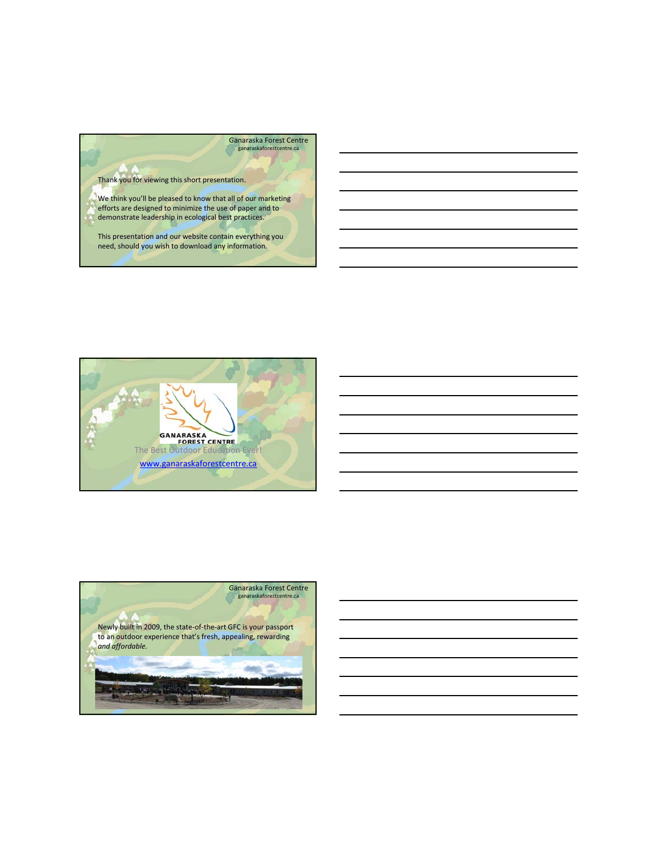



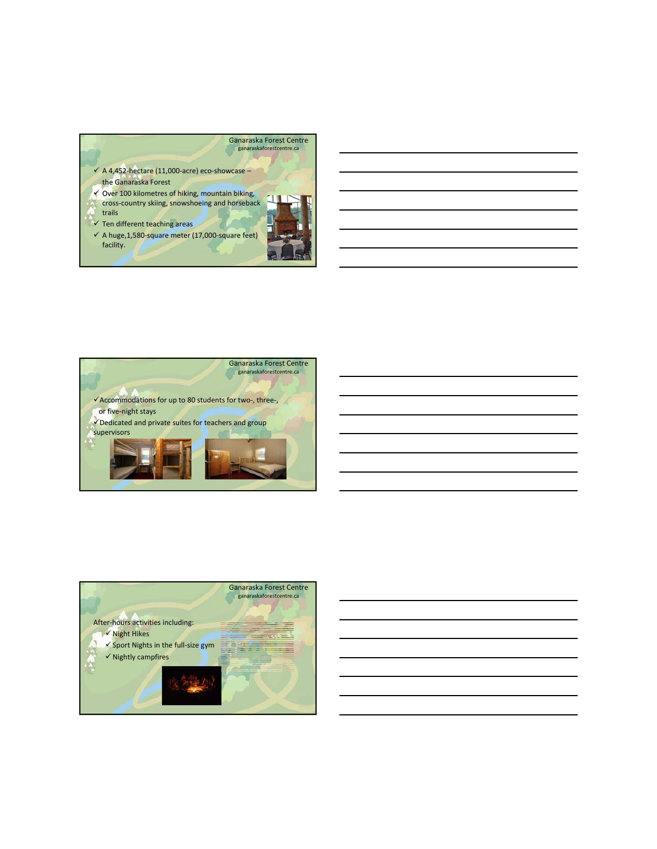





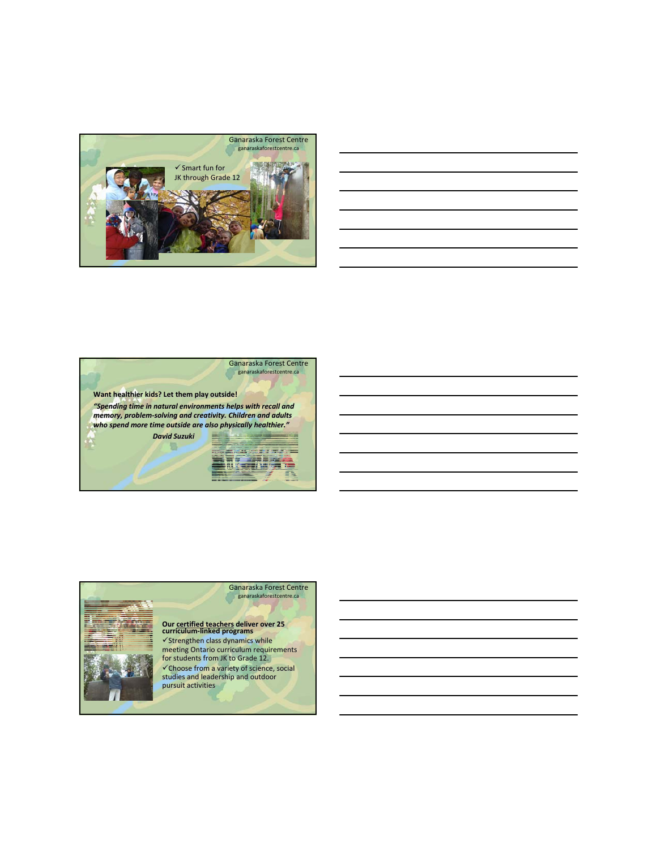

|                                                                                                                     |  |  | <b>Contract Contract</b> |
|---------------------------------------------------------------------------------------------------------------------|--|--|--------------------------|
|                                                                                                                     |  |  |                          |
|                                                                                                                     |  |  |                          |
|                                                                                                                     |  |  |                          |
| and the contract of the contract of the contract of the contract of the contract of the contract of the contract of |  |  |                          |
|                                                                                                                     |  |  |                          |





## **Our certified teachers deliver over 25 curriculum‐linked programs**

 $\checkmark$ Strengthen class dynamics while meeting Ontario curriculum requirements for students from JK to Grade 12.  $\checkmark$  Choose from a variety of science, social studies and leadership and outdoor pursuit activities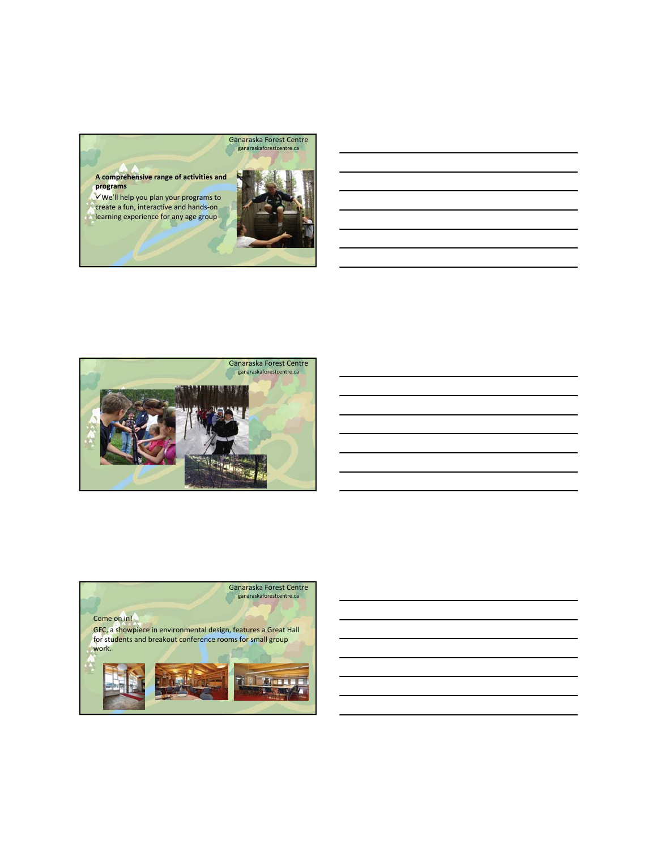





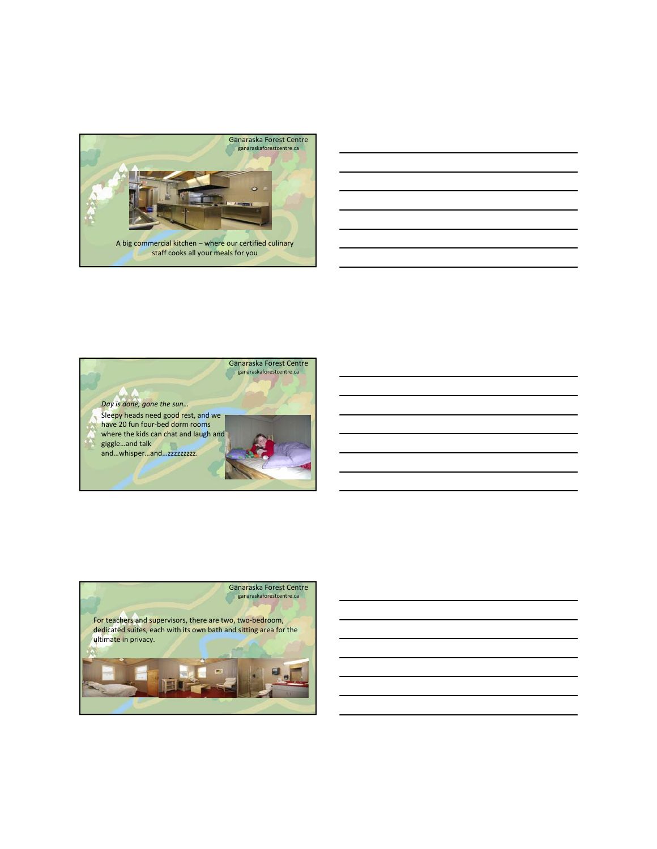

| <u> Alexandro de la contrada de la contrada de la contrada de la contrada de la contrada de la contrada de la co</u>   |  |                          |
|------------------------------------------------------------------------------------------------------------------------|--|--------------------------|
|                                                                                                                        |  |                          |
| <u> 1989 - Johann John Stone, marking fan de Fryske kunstne fan de ferstjer fan de ferstjer fan de ferstjer fan de</u> |  | $\overline{\phantom{a}}$ |
|                                                                                                                        |  |                          |
| <u> 2000 - Andrea Andrewski, amerikansk politik (d. 1982)</u>                                                          |  |                          |
|                                                                                                                        |  |                          |
| <u> Alexandro de la contrada de la contrada de la contrada de la contrada de la contrada de la contrada de la con</u>  |  |                          |
|                                                                                                                        |  |                          |
| <u> 1989 - Johann John Stone, markin sanadi amerikan bahasa dalam kemasaan sebagai sebagai sebagai sebagai sebagai</u> |  |                          |
|                                                                                                                        |  |                          |
| <u> Alexandro de la contrada de la contrada de la contrada de la contrada de la contrada de la contrada de la co</u>   |  |                          |
|                                                                                                                        |  |                          |
|                                                                                                                        |  |                          |



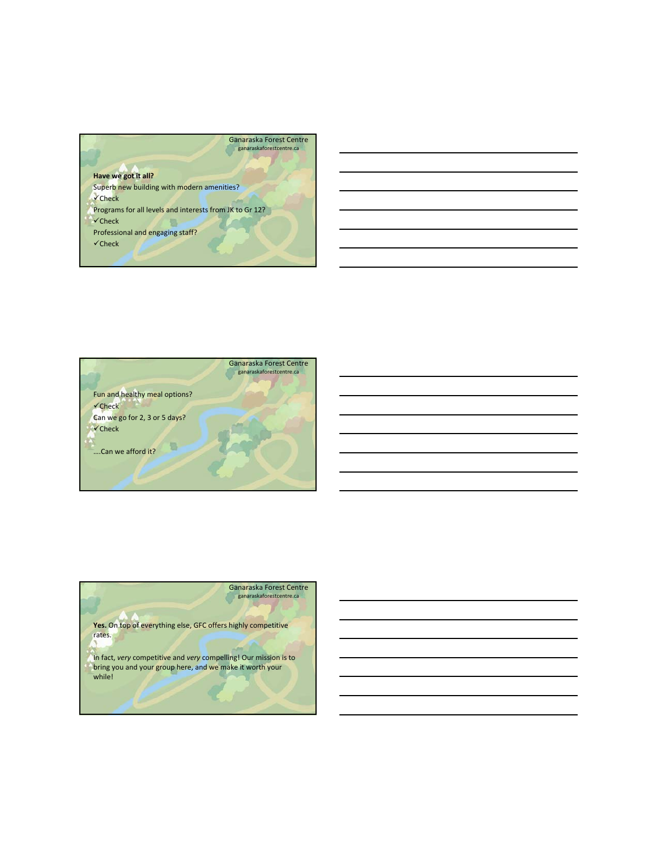





In fact, *very* competitive and *very* compelling! Our mission is to bring you and your group here, and we make it worth your while!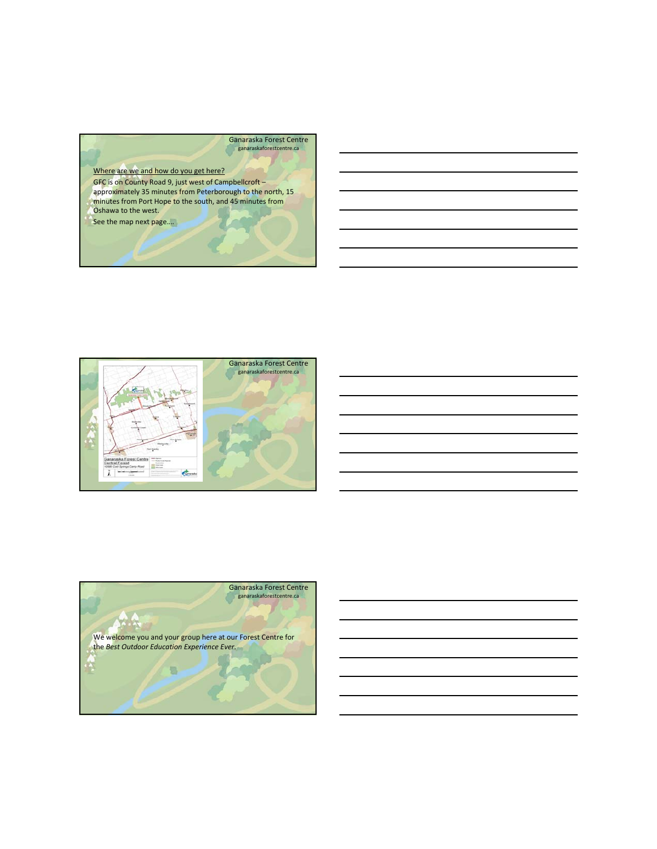## Ganaraska Forest Centre ganaraskaforestcentre.ca

Where are we and how do you get here?

GFC is on County Road 9, just west of Campbellcroft – approximately 35 minutes from Peterborough to the north, 15 minutes from Port Hope to the south, and 45 minutes from Oshawa to the west.

See the map next page....